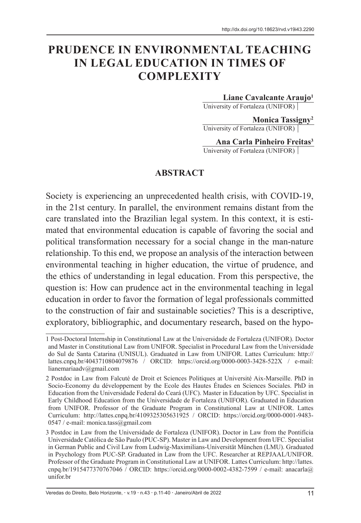# **PRUDENCE IN ENVIRONMENTAL TEACHING IN LEGAL EDUCATION IN TIMES OF COMPLEXITY**

**Liane Cavalcante Araujo1**

University of Fortaleza (UNIFOR)

**Monica Tassigny2** University of Fortaleza (UNIFOR)

**Ana Carla Pinheiro Freitas3** University of Fortaleza (UNIFOR)

#### **ABSTRACT**

Society is experiencing an unprecedented health crisis, with COVID-19, in the 21st century. In parallel, the environment remains distant from the care translated into the Brazilian legal system. In this context, it is estimated that environmental education is capable of favoring the social and political transformation necessary for a social change in the man-nature relationship. To this end, we propose an analysis of the interaction between environmental teaching in higher education, the virtue of prudence, and the ethics of understanding in legal education. From this perspective, the question is: How can prudence act in the environmental teaching in legal education in order to favor the formation of legal professionals committed to the construction of fair and sustainable societies? This is a descriptive, exploratory, bibliographic, and documentary research, based on the hypo-

<sup>1</sup> Post-Doctoral Internship in Constitutional Law at the Universidade de Fortaleza (UNIFOR). Doctor and Master in Constitutional Law from UNIFOR. Specialist in Procedural Law from the Universidade do Sul de Santa Catarina (UNISUL). Graduated in Law from UNIFOR. Lattes Curriculum: http:// lattes.cnpq.br/4043710804079876 / ORCID: https://orcid.org/0000-0003-3428-522X / e-mail: lianemariaadv@gmail.com

<sup>2</sup> Postdoc in Law from Falcuté de Droit et Sciences Politiques at Université Aix-Marseille. PhD in Socio-Economy du développement by the Ecole des Hautes Études en Sciences Sociales. PhD in Education from the Universidade Federal do Ceará (UFC). Master in Education by UFC. Specialist in Early Childhood Education from the Universidade de Fortaleza (UNIFOR). Graduated in Education from UNIFOR. Professor of the Graduate Program in Constitutional Law at UNIFOR. Lattes Curriculum: http://lattes.cnpq.br/4109325305631925 / ORCID: https://orcid.org/0000-0001-9483- 0547 / e-mail: monica.tass $@g$ gmail.com

<sup>3</sup> Postdoc in Law from the Universidade de Fortaleza (UNIFOR). Doctor in Law from the Pontifícia Universidade Católica de São Paulo (PUC-SP). Master in Law and Development from UFC. Specialist in German Public and Civil Law from Ludwig-Maximilians-Universität München (LMU). Graduated in Psychology from PUC-SP. Graduated in Law from the UFC. Researcher at REPJAAL/UNIFOR. Professor of the Graduate Program in Constitutional Law at UNIFOR. Lattes Curriculum: http://lattes. cnpq.br/1915477370767046 / ORCID: https://orcid.org/0000-0002-4382-7599 / e-mail: anacarla@ unifor.br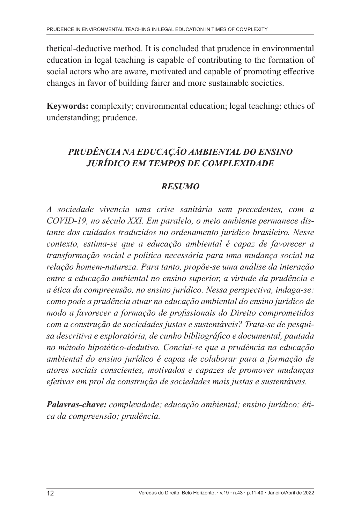thetical-deductive method. It is concluded that prudence in environmental education in legal teaching is capable of contributing to the formation of social actors who are aware, motivated and capable of promoting effective changes in favor of building fairer and more sustainable societies.

**Keywords:** complexity; environmental education; legal teaching; ethics of understanding; prudence.

# *PRUDÊNCIA NA EDUCAÇÃO AMBIENTAL DO ENSINO JURÍDICO EM TEMPOS DE COMPLEXIDADE*

### *RESUMO*

*A sociedade vivencia uma crise sanitária sem precedentes, com a COVID-19, no século XXI. Em paralelo, o meio ambiente permanece distante dos cuidados traduzidos no ordenamento jurídico brasileiro. Nesse contexto, estima-se que a educação ambiental é capaz de favorecer a transformação social e política necessária para uma mudança social na relação homem-natureza. Para tanto, propõe-se uma análise da interação entre a educação ambiental no ensino superior, a virtude da prudência e a ética da compreensão, no ensino jurídico. Nessa perspectiva, indaga-se: como pode a prudência atuar na educação ambiental do ensino jurídico de modo a favorecer a formação de profissionais do Direito comprometidos com a construção de sociedades justas e sustentáveis? Trata-se de pesquisa descritiva e exploratória, de cunho bibliográfico e documental, pautada no método hipotético-dedutivo. Conclui-se que a prudência na educação ambiental do ensino jurídico é capaz de colaborar para a formação de atores sociais conscientes, motivados e capazes de promover mudanças efetivas em prol da construção de sociedades mais justas e sustentáveis.*

*Palavras-chave: complexidade; educação ambiental; ensino jurídico; ética da compreensão; prudência.*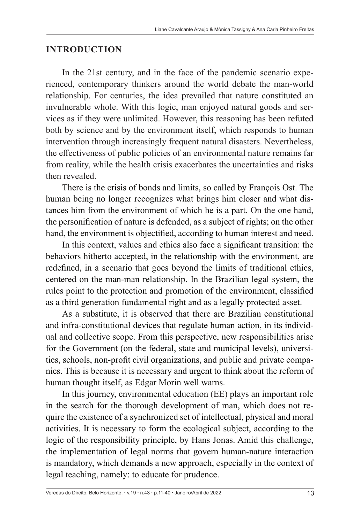#### **INTRODUCTION**

In the 21st century, and in the face of the pandemic scenario experienced, contemporary thinkers around the world debate the man-world relationship. For centuries, the idea prevailed that nature constituted an invulnerable whole. With this logic, man enjoyed natural goods and services as if they were unlimited. However, this reasoning has been refuted both by science and by the environment itself, which responds to human intervention through increasingly frequent natural disasters. Nevertheless, the effectiveness of public policies of an environmental nature remains far from reality, while the health crisis exacerbates the uncertainties and risks then revealed.

There is the crisis of bonds and limits, so called by François Ost. The human being no longer recognizes what brings him closer and what distances him from the environment of which he is a part. On the one hand, the personification of nature is defended, as a subject of rights; on the other hand, the environment is objectified, according to human interest and need.

In this context, values and ethics also face a significant transition: the behaviors hitherto accepted, in the relationship with the environment, are redefined, in a scenario that goes beyond the limits of traditional ethics, centered on the man-man relationship. In the Brazilian legal system, the rules point to the protection and promotion of the environment, classified as a third generation fundamental right and as a legally protected asset.

As a substitute, it is observed that there are Brazilian constitutional and infra-constitutional devices that regulate human action, in its individual and collective scope. From this perspective, new responsibilities arise for the Government (on the federal, state and municipal levels), universities, schools, non-profit civil organizations, and public and private companies. This is because it is necessary and urgent to think about the reform of human thought itself, as Edgar Morin well warns.

In this journey, environmental education (EE) plays an important role in the search for the thorough development of man, which does not require the existence of a synchronized set of intellectual, physical and moral activities. It is necessary to form the ecological subject, according to the logic of the responsibility principle, by Hans Jonas. Amid this challenge, the implementation of legal norms that govern human-nature interaction is mandatory, which demands a new approach, especially in the context of legal teaching, namely: to educate for prudence.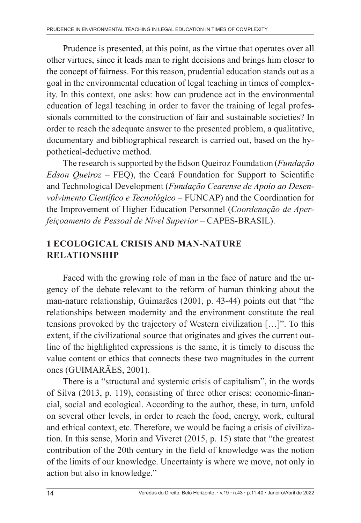Prudence is presented, at this point, as the virtue that operates over all other virtues, since it leads man to right decisions and brings him closer to the concept of fairness. For this reason, prudential education stands out as a goal in the environmental education of legal teaching in times of complexity. In this context, one asks: how can prudence act in the environmental education of legal teaching in order to favor the training of legal professionals committed to the construction of fair and sustainable societies? In order to reach the adequate answer to the presented problem, a qualitative, documentary and bibliographical research is carried out, based on the hypothetical-deductive method.

The research is supported by the Edson Queiroz Foundation (*Fundação Edson Queiroz* – FEQ), the Ceará Foundation for Support to Scientific and Technological Development (*Fundação Cearense de Apoio ao Desenvolvimento Científico e Tecnológico* – FUNCAP) and the Coordination for the Improvement of Higher Education Personnel (*Coordenação de Aperfeiçoamento de Pessoal de Nível Superior* – CAPES-BRASIL).

### **1 ECOLOGICAL CRISIS AND MAN-NATURE RELATIONSHIP**

Faced with the growing role of man in the face of nature and the urgency of the debate relevant to the reform of human thinking about the man-nature relationship, Guimarães (2001, p. 43-44) points out that "the relationships between modernity and the environment constitute the real tensions provoked by the trajectory of Western civilization […]". To this extent, if the civilizational source that originates and gives the current outline of the highlighted expressions is the same, it is timely to discuss the value content or ethics that connects these two magnitudes in the current ones (GUIMARÃES, 2001).

There is a "structural and systemic crisis of capitalism", in the words of Silva (2013, p. 119), consisting of three other crises: economic-financial, social and ecological. According to the author, these, in turn, unfold on several other levels, in order to reach the food, energy, work, cultural and ethical context, etc. Therefore, we would be facing a crisis of civilization. In this sense, Morin and Viveret (2015, p. 15) state that "the greatest contribution of the 20th century in the field of knowledge was the notion of the limits of our knowledge. Uncertainty is where we move, not only in action but also in knowledge."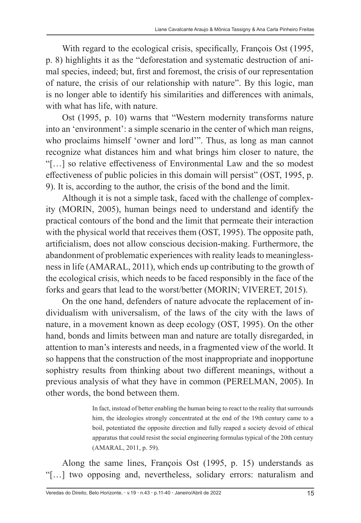With regard to the ecological crisis, specifically, François Ost (1995, p. 8) highlights it as the "deforestation and systematic destruction of animal species, indeed; but, first and foremost, the crisis of our representation of nature, the crisis of our relationship with nature". By this logic, man is no longer able to identify his similarities and differences with animals, with what has life, with nature.

Ost (1995, p. 10) warns that "Western modernity transforms nature into an 'environment': a simple scenario in the center of which man reigns, who proclaims himself 'owner and lord'". Thus, as long as man cannot recognize what distances him and what brings him closer to nature, the "[…] so relative effectiveness of Environmental Law and the so modest effectiveness of public policies in this domain will persist" (OST, 1995, p. 9). It is, according to the author, the crisis of the bond and the limit.

Although it is not a simple task, faced with the challenge of complexity (MORIN, 2005), human beings need to understand and identify the practical contours of the bond and the limit that permeate their interaction with the physical world that receives them (OST, 1995). The opposite path, artificialism, does not allow conscious decision-making. Furthermore, the abandonment of problematic experiences with reality leads to meaninglessness in life (AMARAL, 2011), which ends up contributing to the growth of the ecological crisis, which needs to be faced responsibly in the face of the forks and gears that lead to the worst/better (MORIN; VIVERET, 2015).

On the one hand, defenders of nature advocate the replacement of individualism with universalism, of the laws of the city with the laws of nature, in a movement known as deep ecology (OST, 1995). On the other hand, bonds and limits between man and nature are totally disregarded, in attention to man's interests and needs, in a fragmented view of the world. It so happens that the construction of the most inappropriate and inopportune sophistry results from thinking about two different meanings, without a previous analysis of what they have in common (PERELMAN, 2005). In other words, the bond between them.

> In fact, instead of better enabling the human being to react to the reality that surrounds him, the ideologies strongly concentrated at the end of the 19th century came to a boil, potentiated the opposite direction and fully reaped a society devoid of ethical apparatus that could resist the social engineering formulas typical of the 20th century (AMARAL, 2011, p. 59).

Along the same lines, François Ost (1995, p. 15) understands as "[…] two opposing and, nevertheless, solidary errors: naturalism and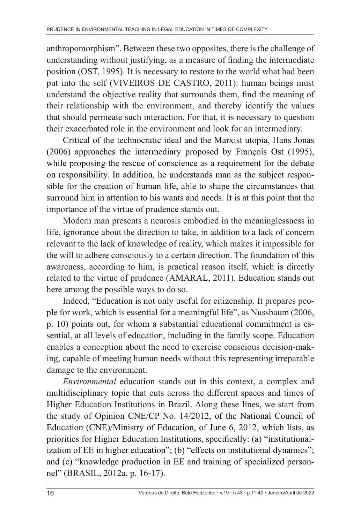anthropomorphism". Between these two opposites, there is the challenge of understanding without justifying, as a measure of finding the intermediate position (OST, 1995). It is necessary to restore to the world what had been put into the self (VIVEIROS DE CASTRO, 2011): human beings must understand the objective reality that surrounds them, find the meaning of their relationship with the environment, and thereby identify the values that should permeate such interaction. For that, it is necessary to question their exacerbated role in the environment and look for an intermediary.

Critical of the technocratic ideal and the Marxist utopia, Hans Jonas (2006) approaches the intermediary proposed by François Ost (1995), while proposing the rescue of conscience as a requirement for the debate on responsibility. In addition, he understands man as the subject responsible for the creation of human life, able to shape the circumstances that surround him in attention to his wants and needs. It is at this point that the importance of the virtue of prudence stands out.

Modern man presents a neurosis embodied in the meaninglessness in life, ignorance about the direction to take, in addition to a lack of concern relevant to the lack of knowledge of reality, which makes it impossible for the will to adhere consciously to a certain direction. The foundation of this awareness, according to him, is practical reason itself, which is directly related to the virtue of prudence (AMARAL, 2011). Education stands out here among the possible ways to do so.

Indeed, "Education is not only useful for citizenship. It prepares people for work, which is essential for a meaningful life", as Nussbaum (2006, p. 10) points out, for whom a substantial educational commitment is essential, at all levels of education, including in the family scope. Education enables a conception about the need to exercise conscious decision-making, capable of meeting human needs without this representing irreparable damage to the environment.

*Environmental* education stands out in this context, a complex and multidisciplinary topic that cuts across the different spaces and times of Higher Education Institutions in Brazil. Along these lines, we start from the study of Opinion CNE/CP No. 14/2012, of the National Council of Education (CNE)/Ministry of Education, of June 6, 2012, which lists, as priorities for Higher Education Institutions, specifically: (a) "institutionalization of EE in higher education"; (b) "effects on institutional dynamics"; and (c) "knowledge production in EE and training of specialized personnel" (BRASIL, 2012a, p. 16-17).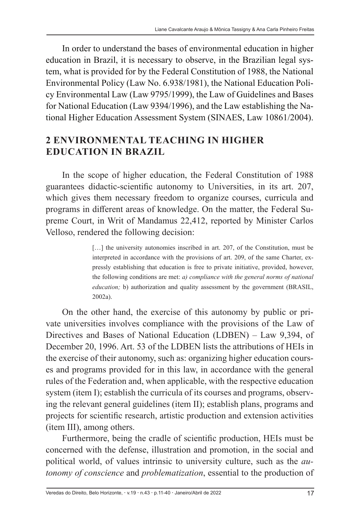In order to understand the bases of environmental education in higher education in Brazil, it is necessary to observe, in the Brazilian legal system, what is provided for by the Federal Constitution of 1988, the National Environmental Policy (Law No. 6.938/1981), the National Education Policy Environmental Law (Law 9795/1999), the Law of Guidelines and Bases for National Education (Law 9394/1996), and the Law establishing the National Higher Education Assessment System (SINAES, Law 10861/2004).

# **2 ENVIRONMENTAL TEACHING IN HIGHER EDUCATION IN BRAZIL**

In the scope of higher education, the Federal Constitution of 1988 guarantees didactic-scientific autonomy to Universities, in its art. 207, which gives them necessary freedom to organize courses, curricula and programs in different areas of knowledge. On the matter, the Federal Supreme Court, in Writ of Mandamus 22,412, reported by Minister Carlos Velloso, rendered the following decision:

> [...] the university autonomies inscribed in art. 207, of the Constitution, must be interpreted in accordance with the provisions of art. 209, of the same Charter, expressly establishing that education is free to private initiative, provided, however, the following conditions are met: *a) compliance with the general norms of national education*; b) authorization and quality assessment by the government (BRASIL, 2002a).

On the other hand, the exercise of this autonomy by public or private universities involves compliance with the provisions of the Law of Directives and Bases of National Education (LDBEN) – Law 9,394, of December 20, 1996. Art. 53 of the LDBEN lists the attributions of HEIs in the exercise of their autonomy, such as: organizing higher education courses and programs provided for in this law, in accordance with the general rules of the Federation and, when applicable, with the respective education system (item I); establish the curricula of its courses and programs, observing the relevant general guidelines (item II); establish plans, programs and projects for scientific research, artistic production and extension activities (item III), among others.

Furthermore, being the cradle of scientific production, HEIs must be concerned with the defense, illustration and promotion, in the social and political world, of values intrinsic to university culture, such as the *autonomy of conscience* and *problematization*, essential to the production of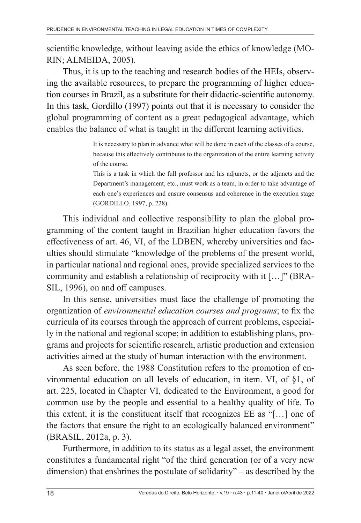scientific knowledge, without leaving aside the ethics of knowledge (MO-RIN; ALMEIDA, 2005).

Thus, it is up to the teaching and research bodies of the HEIs, observing the available resources, to prepare the programming of higher education courses in Brazil, as a substitute for their didactic-scientific autonomy. In this task, Gordillo (1997) points out that it is necessary to consider the global programming of content as a great pedagogical advantage, which enables the balance of what is taught in the different learning activities.

> It is necessary to plan in advance what will be done in each of the classes of a course, because this effectively contributes to the organization of the entire learning activity of the course.

> This is a task in which the full professor and his adjuncts, or the adjuncts and the Department's management, etc., must work as a team, in order to take advantage of each one's experiences and ensure consensus and coherence in the execution stage (GORDILLO, 1997, p. 228).

This individual and collective responsibility to plan the global programming of the content taught in Brazilian higher education favors the effectiveness of art. 46, VI, of the LDBEN, whereby universities and faculties should stimulate "knowledge of the problems of the present world, in particular national and regional ones, provide specialized services to the community and establish a relationship of reciprocity with it […]" (BRA-SIL, 1996), on and off campuses.

In this sense, universities must face the challenge of promoting the organization of *environmental education courses and programs*; to fix the curricula of its courses through the approach of current problems, especially in the national and regional scope; in addition to establishing plans, programs and projects for scientific research, artistic production and extension activities aimed at the study of human interaction with the environment.

As seen before, the 1988 Constitution refers to the promotion of environmental education on all levels of education, in item. VI, of §1, of art. 225, located in Chapter VI, dedicated to the Environment, a good for common use by the people and essential to a healthy quality of life. To this extent, it is the constituent itself that recognizes EE as "[…] one of the factors that ensure the right to an ecologically balanced environment" (BRASIL, 2012a, p. 3).

Furthermore, in addition to its status as a legal asset, the environment constitutes a fundamental right "of the third generation (or of a very new dimension) that enshrines the postulate of solidarity" – as described by the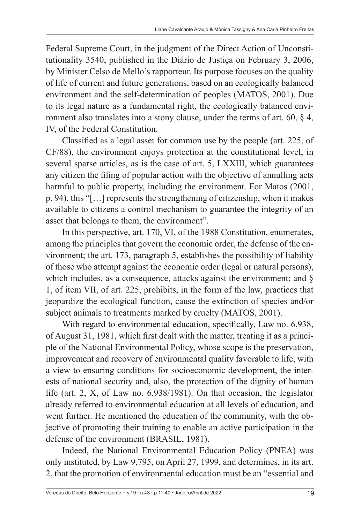Federal Supreme Court, in the judgment of the Direct Action of Unconstitutionality 3540, published in the Diário de Justiça on February 3, 2006, by Minister Celso de Mello's rapporteur. Its purpose focuses on the quality of life of current and future generations, based on an ecologically balanced environment and the self-determination of peoples (MATOS, 2001). Due to its legal nature as a fundamental right, the ecologically balanced environment also translates into a stony clause, under the terms of art. 60, § 4, IV, of the Federal Constitution.

Classified as a legal asset for common use by the people (art. 225, of CF/88), the environment enjoys protection at the constitutional level, in several sparse articles, as is the case of art. 5, LXXIII, which guarantees any citizen the filing of popular action with the objective of annulling acts harmful to public property, including the environment. For Matos (2001, p. 94), this "[…] represents the strengthening of citizenship, when it makes available to citizens a control mechanism to guarantee the integrity of an asset that belongs to them, the environment".

In this perspective, art. 170, VI, of the 1988 Constitution, enumerates, among the principles that govern the economic order, the defense of the environment; the art. 173, paragraph 5, establishes the possibility of liability of those who attempt against the economic order (legal or natural persons), which includes, as a consequence, attacks against the environment; and § 1, of item VII, of art. 225, prohibits, in the form of the law, practices that jeopardize the ecological function, cause the extinction of species and/or subject animals to treatments marked by cruelty (MATOS, 2001).

With regard to environmental education, specifically, Law no. 6,938, of August 31, 1981, which first dealt with the matter, treating it as a principle of the National Environmental Policy, whose scope is the preservation, improvement and recovery of environmental quality favorable to life, with a view to ensuring conditions for socioeconomic development, the interests of national security and, also, the protection of the dignity of human life (art. 2, X, of Law no. 6,938/1981). On that occasion, the legislator already referred to environmental education at all levels of education, and went further. He mentioned the education of the community, with the objective of promoting their training to enable an active participation in the defense of the environment (BRASIL, 1981).

Indeed, the National Environmental Education Policy (PNEA) was only instituted, by Law 9,795, on April 27, 1999, and determines, in its art. 2, that the promotion of environmental education must be an "essential and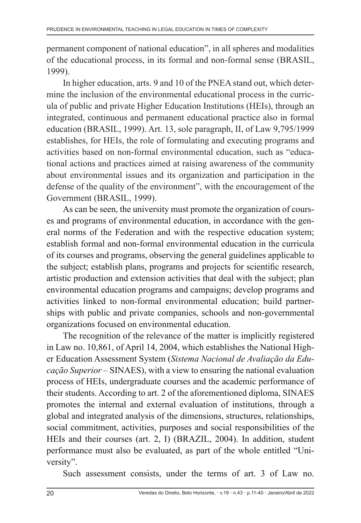permanent component of national education", in all spheres and modalities of the educational process, in its formal and non-formal sense (BRASIL, 1999).

In higher education, arts. 9 and 10 of the PNEA stand out, which determine the inclusion of the environmental educational process in the curricula of public and private Higher Education Institutions (HEIs), through an integrated, continuous and permanent educational practice also in formal education (BRASIL, 1999). Art. 13, sole paragraph, II, of Law 9,795/1999 establishes, for HEIs, the role of formulating and executing programs and activities based on non-formal environmental education, such as "educational actions and practices aimed at raising awareness of the community about environmental issues and its organization and participation in the defense of the quality of the environment", with the encouragement of the Government (BRASIL, 1999).

As can be seen, the university must promote the organization of courses and programs of environmental education, in accordance with the general norms of the Federation and with the respective education system; establish formal and non-formal environmental education in the curricula of its courses and programs, observing the general guidelines applicable to the subject; establish plans, programs and projects for scientific research, artistic production and extension activities that deal with the subject; plan environmental education programs and campaigns; develop programs and activities linked to non-formal environmental education; build partnerships with public and private companies, schools and non-governmental organizations focused on environmental education.

The recognition of the relevance of the matter is implicitly registered in Law no. 10,861, of April 14, 2004, which establishes the National Higher Education Assessment System (*Sistema Nacional de Avaliação da Educação Superior* – SINAES), with a view to ensuring the national evaluation process of HEIs, undergraduate courses and the academic performance of their students. According to art. 2 of the aforementioned diploma, SINAES promotes the internal and external evaluation of institutions, through a global and integrated analysis of the dimensions, structures, relationships, social commitment, activities, purposes and social responsibilities of the HEIs and their courses (art. 2, I) (BRAZIL, 2004). In addition, student performance must also be evaluated, as part of the whole entitled "University".

Such assessment consists, under the terms of art. 3 of Law no.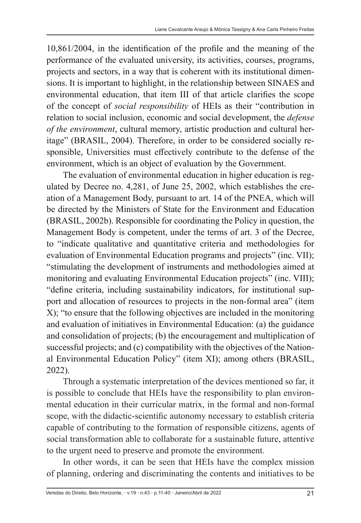10,861/2004, in the identification of the profile and the meaning of the performance of the evaluated university, its activities, courses, programs, projects and sectors, in a way that is coherent with its institutional dimensions. It is important to highlight, in the relationship between SINAES and environmental education, that item III of that article clarifies the scope of the concept of *social responsibility* of HEIs as their "contribution in relation to social inclusion, economic and social development, the *defense of the environment*, cultural memory, artistic production and cultural heritage" (BRASIL, 2004). Therefore, in order to be considered socially responsible, Universities must effectively contribute to the defense of the environment, which is an object of evaluation by the Government.

The evaluation of environmental education in higher education is regulated by Decree no. 4,281, of June 25, 2002, which establishes the creation of a Management Body, pursuant to art. 14 of the PNEA, which will be directed by the Ministers of State for the Environment and Education (BRASIL, 2002b). Responsible for coordinating the Policy in question, the Management Body is competent, under the terms of art. 3 of the Decree, to "indicate qualitative and quantitative criteria and methodologies for evaluation of Environmental Education programs and projects" (inc. VII); "stimulating the development of instruments and methodologies aimed at monitoring and evaluating Environmental Education projects" (inc. VIII); "define criteria, including sustainability indicators, for institutional support and allocation of resources to projects in the non-formal area" (item X); "to ensure that the following objectives are included in the monitoring and evaluation of initiatives in Environmental Education: (a) the guidance and consolidation of projects; (b) the encouragement and multiplication of successful projects; and (c) compatibility with the objectives of the National Environmental Education Policy" (item XI); among others (BRASIL, 2022).

Through a systematic interpretation of the devices mentioned so far, it is possible to conclude that HEIs have the responsibility to plan environmental education in their curricular matrix, in the formal and non-formal scope, with the didactic-scientific autonomy necessary to establish criteria capable of contributing to the formation of responsible citizens, agents of social transformation able to collaborate for a sustainable future, attentive to the urgent need to preserve and promote the environment.

In other words, it can be seen that HEIs have the complex mission of planning, ordering and discriminating the contents and initiatives to be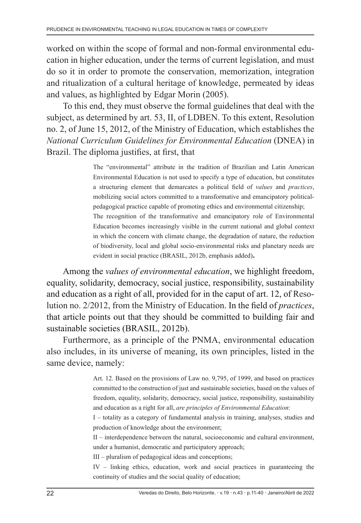worked on within the scope of formal and non-formal environmental education in higher education, under the terms of current legislation, and must do so it in order to promote the conservation, memorization, integration and ritualization of a cultural heritage of knowledge, permeated by ideas and values, as highlighted by Edgar Morin (2005).

To this end, they must observe the formal guidelines that deal with the subject, as determined by art. 53, II, of LDBEN. To this extent, Resolution no. 2, of June 15, 2012, of the Ministry of Education, which establishes the *National Curriculum Guidelines for Environmental Education* (DNEA) in Brazil. The diploma justifies, at first, that

> The "environmental" attribute in the tradition of Brazilian and Latin American Environmental Education is not used to specify a type of education, but constitutes a structuring element that demarcates a political field of *values* and *practices*, mobilizing social actors committed to a transformative and emancipatory politicalpedagogical practice capable of promoting ethics and environmental citizenship; The recognition of the transformative and emancipatory role of Environmental Education becomes increasingly visible in the current national and global context in which the concern with climate change, the degradation of nature, the reduction of biodiversity, local and global socio-environmental risks and planetary needs are evident in social practice (BRASIL, 2012b, emphasis added).

Among the *values of environmental education*, we highlight freedom, equality, solidarity, democracy, social justice, responsibility, sustainability and education as a right of all, provided for in the caput of art. 12, of Resolution no. 2/2012, from the Ministry of Education. In the field of *practices*, that article points out that they should be committed to building fair and sustainable societies (BRASIL, 2012b).

Furthermore, as a principle of the PNMA, environmental education also includes, in its universe of meaning, its own principles, listed in the same device, namely:

> Art. 12. Based on the provisions of Law no. 9,795, of 1999, and based on practices committed to the construction of just and sustainable societies, based on the values of freedom, equality, solidarity, democracy, social justice, responsibility, sustainability and education as a right for all, *are principles of Environmental Education*:

> I – totality as a category of fundamental analysis in training, analyses, studies and production of knowledge about the environment;

> II – interdependence between the natural, socioeconomic and cultural environment, under a humanist, democratic and participatory approach;

III – pluralism of pedagogical ideas and conceptions;

IV – linking ethics, education, work and social practices in guaranteeing the continuity of studies and the social quality of education;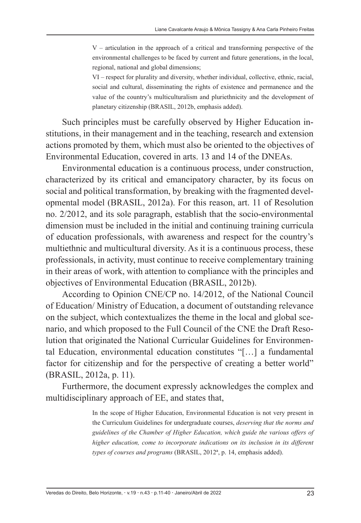$V$  – articulation in the approach of a critical and transforming perspective of the environmental challenges to be faced by current and future generations, in the local, regional, national and global dimensions;

VI – respect for plurality and diversity, whether individual, collective, ethnic, racial, social and cultural, disseminating the rights of existence and permanence and the value of the country's multiculturalism and pluriethnicity and the development of planetary citizenship (BRASIL, 2012b, emphasis added).

Such principles must be carefully observed by Higher Education institutions, in their management and in the teaching, research and extension actions promoted by them, which must also be oriented to the objectives of Environmental Education, covered in arts. 13 and 14 of the DNEAs.

Environmental education is a continuous process, under construction, characterized by its critical and emancipatory character, by its focus on social and political transformation, by breaking with the fragmented developmental model (BRASIL, 2012a). For this reason, art. 11 of Resolution no. 2/2012, and its sole paragraph, establish that the socio-environmental dimension must be included in the initial and continuing training curricula of education professionals, with awareness and respect for the country's multiethnic and multicultural diversity. As it is a continuous process, these professionals, in activity, must continue to receive complementary training in their areas of work, with attention to compliance with the principles and objectives of Environmental Education (BRASIL, 2012b).

According to Opinion CNE/CP no. 14/2012, of the National Council of Education/ Ministry of Education, a document of outstanding relevance on the subject, which contextualizes the theme in the local and global scenario, and which proposed to the Full Council of the CNE the Draft Resolution that originated the National Curricular Guidelines for Environmental Education, environmental education constitutes "[…] a fundamental factor for citizenship and for the perspective of creating a better world" (BRASIL, 2012a, p. 11).

Furthermore, the document expressly acknowledges the complex and multidisciplinary approach of EE, and states that,

> In the scope of Higher Education, Environmental Education is not very present in the Curriculum Guidelines for undergraduate courses, *deserving that the norms and guidelines of the Chamber of Higher Education, which guide the various offers of higher education, come to incorporate indications on its inclusion in its different types of courses and programs* (BRASIL, 2012ª, p. 14, emphasis added).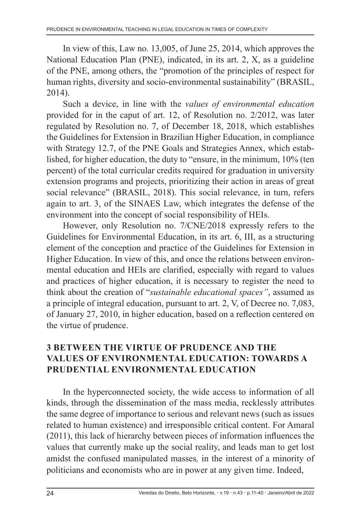In view of this, Law no. 13,005, of June 25, 2014, which approves the National Education Plan (PNE), indicated, in its art. 2, X, as a guideline of the PNE, among others, the "promotion of the principles of respect for human rights, diversity and socio-environmental sustainability" (BRASIL, 2014).

Such a device, in line with the *values of environmental education*  provided for in the caput of art. 12, of Resolution no. 2/2012, was later regulated by Resolution no. 7, of December 18, 2018, which establishes the Guidelines for Extension in Brazilian Higher Education, in compliance with Strategy 12.7, of the PNE Goals and Strategies Annex, which established, for higher education, the duty to "ensure, in the minimum, 10% (ten percent) of the total curricular credits required for graduation in university extension programs and projects, prioritizing their action in areas of great social relevance" (BRASIL, 2018). This social relevance, in turn, refers again to art. 3, of the SINAES Law, which integrates the defense of the environment into the concept of social responsibility of HEIs.

However, only Resolution no. 7/CNE/2018 expressly refers to the Guidelines for Environmental Education, in its art. 6, III, as a structuring element of the conception and practice of the Guidelines for Extension in Higher Education. In view of this, and once the relations between environmental education and HEIs are clarified, especially with regard to values and practices of higher education, it is necessary to register the need to think about the creation of "*sustainable educational spaces"*, assumed as a principle of integral education, pursuant to art. 2, V, of Decree no. 7,083, of January 27, 2010, in higher education, based on a reflection centered on the virtue of prudence.

### **3 BETWEEN THE VIRTUE OF PRUDENCE AND THE VALUES OF ENVIRONMENTAL EDUCATION: TOWARDS A PRUDENTIAL ENVIRONMENTAL EDUCATION**

In the hyperconnected society, the wide access to information of all kinds, through the dissemination of the mass media, recklessly attributes the same degree of importance to serious and relevant news (such as issues related to human existence) and irresponsible critical content. For Amaral (2011), this lack of hierarchy between pieces of information influences the values that currently make up the social reality, and leads man to get lost amidst the confused manipulated masses*,* in the interest of a minority of politicians and economists who are in power at any given time. Indeed,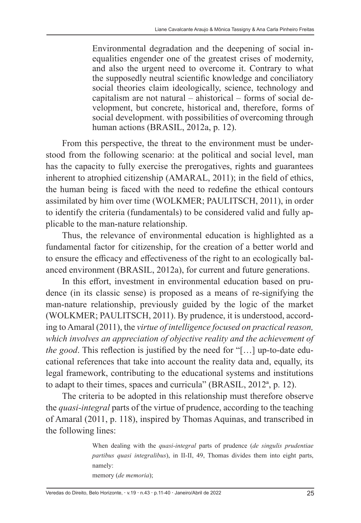Environmental degradation and the deepening of social inequalities engender one of the greatest crises of modernity, and also the urgent need to overcome it. Contrary to what the supposedly neutral scientific knowledge and conciliatory social theories claim ideologically, science, technology and capitalism are not natural – ahistorical – forms of social development, but concrete, historical and, therefore, forms of social development. with possibilities of overcoming through human actions (BRASIL, 2012a, p. 12).

From this perspective, the threat to the environment must be understood from the following scenario: at the political and social level, man has the capacity to fully exercise the prerogatives, rights and guarantees inherent to atrophied citizenship (AMARAL, 2011); in the field of ethics, the human being is faced with the need to redefine the ethical contours assimilated by him over time (WOLKMER; PAULITSCH, 2011), in order to identify the criteria (fundamentals) to be considered valid and fully applicable to the man-nature relationship.

Thus, the relevance of environmental education is highlighted as a fundamental factor for citizenship, for the creation of a better world and to ensure the efficacy and effectiveness of the right to an ecologically balanced environment (BRASIL, 2012a), for current and future generations.

In this effort, investment in environmental education based on prudence (in its classic sense) is proposed as a means of re-signifying the man-nature relationship, previously guided by the logic of the market (WOLKMER; PAULITSCH, 2011). By prudence, it is understood, according to Amaral (2011), the *virtue of intelligence focused on practical reason, which involves an appreciation of objective reality and the achievement of the good*. This reflection is justified by the need for "[…] up-to-date educational references that take into account the reality data and, equally, its legal framework, contributing to the educational systems and institutions to adapt to their times, spaces and curricula" (BRASIL, 2012ª, p. 12).

The criteria to be adopted in this relationship must therefore observe the *quasi-integral* parts of the virtue of prudence, according to the teaching of Amaral (2011, p. 118), inspired by Thomas Aquinas, and transcribed in the following lines:

> When dealing with the *quasi-integral* parts of prudence (*de singulis prudentiae partibus quasi integralibus*), in II-II, 49, Thomas divides them into eight parts, namely:

memory (*de memoria*);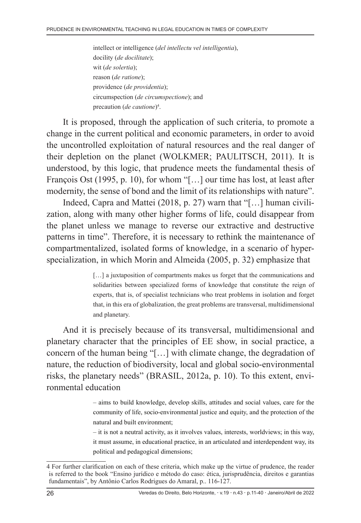intellect or intelligence (*del intellectu vel intelligentia*), docility (*de docilitate*); wit (*de solertia*); reason (*de ratione*); providence (*de providentia*); circumspection (*de circumspectione*); and precaution (*de cautione*)<sup>4</sup>.

It is proposed, through the application of such criteria, to promote a change in the current political and economic parameters, in order to avoid the uncontrolled exploitation of natural resources and the real danger of their depletion on the planet (WOLKMER; PAULITSCH, 2011). It is understood, by this logic, that prudence meets the fundamental thesis of François Ost (1995, p. 10), for whom "[…] our time has lost, at least after modernity, the sense of bond and the limit of its relationships with nature".

Indeed, Capra and Mattei (2018, p. 27) warn that "[…] human civilization, along with many other higher forms of life, could disappear from the planet unless we manage to reverse our extractive and destructive patterns in time". Therefore, it is necessary to rethink the maintenance of compartmentalized, isolated forms of knowledge, in a scenario of hyperspecialization, in which Morin and Almeida (2005, p. 32) emphasize that

> [...] a juxtaposition of compartments makes us forget that the communications and solidarities between specialized forms of knowledge that constitute the reign of experts, that is, of specialist technicians who treat problems in isolation and forget that, in this era of globalization, the great problems are transversal, multidimensional and planetary.

And it is precisely because of its transversal, multidimensional and planetary character that the principles of EE show, in social practice, a concern of the human being "[…] with climate change, the degradation of nature, the reduction of biodiversity, local and global socio-environmental risks, the planetary needs" (BRASIL, 2012a, p. 10). To this extent, environmental education

> – aims to build knowledge, develop skills, attitudes and social values, care for the community of life, socio-environmental justice and equity, and the protection of the natural and built environment;

> – it is not a neutral activity, as it involves values, interests, worldviews; in this way, it must assume, in educational practice, in an articulated and interdependent way, its political and pedagogical dimensions;

<sup>4</sup> For further clarification on each of these criteria, which make up the virtue of prudence, the reader is referred to the book "Ensino jurídico e método do caso: ética, jurisprudência, direitos e garantias fundamentais", by Antônio Carlos Rodrigues do Amaral, p.. 116-127.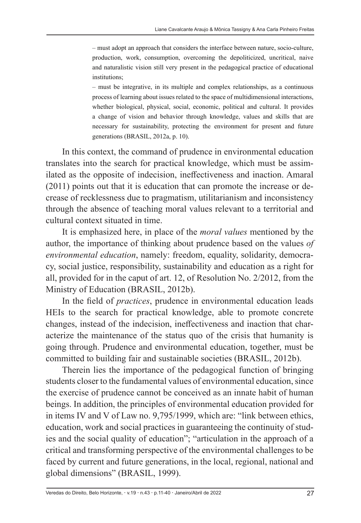– must adopt an approach that considers the interface between nature, socio-culture, production, work, consumption, overcoming the depoliticized, uncritical, naive and naturalistic vision still very present in the pedagogical practice of educational institutions;

– must be integrative, in its multiple and complex relationships, as a continuous process of learning about issues related to the space of multidimensional interactions, whether biological, physical, social, economic, political and cultural. It provides a change of vision and behavior through knowledge, values and skills that are necessary for sustainability, protecting the environment for present and future generations (BRASIL, 2012a, p. 10).

In this context, the command of prudence in environmental education translates into the search for practical knowledge, which must be assimilated as the opposite of indecision, ineffectiveness and inaction. Amaral (2011) points out that it is education that can promote the increase or decrease of recklessness due to pragmatism, utilitarianism and inconsistency through the absence of teaching moral values relevant to a territorial and cultural context situated in time.

It is emphasized here, in place of the *moral values* mentioned by the author, the importance of thinking about prudence based on the values *of environmental education*, namely: freedom, equality, solidarity, democracy, social justice, responsibility, sustainability and education as a right for all, provided for in the caput of art. 12, of Resolution No. 2/2012, from the Ministry of Education (BRASIL, 2012b).

In the field of *practices*, prudence in environmental education leads HEIs to the search for practical knowledge, able to promote concrete changes, instead of the indecision, ineffectiveness and inaction that characterize the maintenance of the status quo of the crisis that humanity is going through. Prudence and environmental education, together, must be committed to building fair and sustainable societies (BRASIL, 2012b).

Therein lies the importance of the pedagogical function of bringing students closer to the fundamental values of environmental education, since the exercise of prudence cannot be conceived as an innate habit of human beings. In addition, the principles of environmental education provided for in items IV and V of Law no. 9,795/1999, which are: "link between ethics, education, work and social practices in guaranteeing the continuity of studies and the social quality of education"; "articulation in the approach of a critical and transforming perspective of the environmental challenges to be faced by current and future generations, in the local, regional, national and global dimensions" (BRASIL, 1999).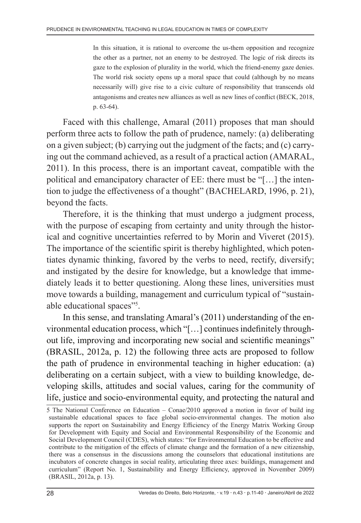In this situation, it is rational to overcome the us-them opposition and recognize the other as a partner, not an enemy to be destroyed. The logic of risk directs its gaze to the explosion of plurality in the world, which the friend-enemy gaze denies. The world risk society opens up a moral space that could (although by no means necessarily will) give rise to a civic culture of responsibility that transcends old antagonisms and creates new alliances as well as new lines of conflict (BECK, 2018, p. 63-64).

Faced with this challenge, Amaral (2011) proposes that man should perform three acts to follow the path of prudence, namely: (a) deliberating on a given subject; (b) carrying out the judgment of the facts; and (c) carrying out the command achieved, as a result of a practical action (AMARAL, 2011). In this process, there is an important caveat, compatible with the political and emancipatory character of EE: there must be "[…] the intention to judge the effectiveness of a thought" (BACHELARD, 1996, p. 21), beyond the facts.

Therefore, it is the thinking that must undergo a judgment process, with the purpose of escaping from certainty and unity through the historical and cognitive uncertainties referred to by Morin and Viveret (2015). The importance of the scientific spirit is thereby highlighted, which potentiates dynamic thinking, favored by the verbs to need, rectify, diversify; and instigated by the desire for knowledge, but a knowledge that immediately leads it to better questioning. Along these lines, universities must move towards a building, management and curriculum typical of "sustainable educational spaces"<sup>5</sup>.

In this sense, and translating Amaral's (2011) understanding of the environmental education process, which "[…] continues indefinitely throughout life, improving and incorporating new social and scientific meanings" (BRASIL, 2012a, p. 12) the following three acts are proposed to follow the path of prudence in environmental teaching in higher education: (a) deliberating on a certain subject, with a view to building knowledge, developing skills, attitudes and social values, caring for the community of life, justice and socio-environmental equity, and protecting the natural and

<sup>5</sup> The National Conference on Education – Conae/2010 approved a motion in favor of build ing sustainable educational spaces to face global socio-environmental changes. The motion also supports the report on Sustainability and Energy Efficiency of the Energy Matrix Working Group for Development with Equity and Social and Environmental Responsibility of the Economic and Social Development Council (CDES), which states: "for Environmental Education to be effective and contribute to the mitigation of the effects of climate change and the formation of a new citizenship, there was a consensus in the discussions among the counselors that educational institutions are incubators of concrete changes in social reality, articulating three axes: buildings, management and curriculum" (Report No. 1, Sustainability and Energy Efficiency, approved in November 2009) (BRASIL, 2012a, p. 13).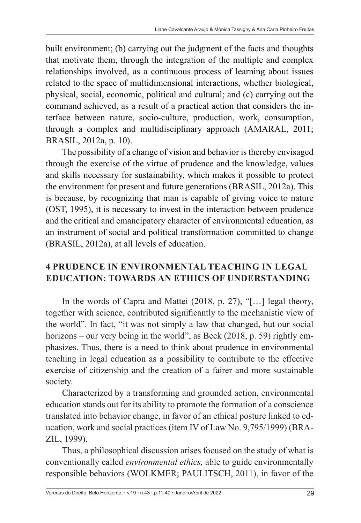built environment; (b) carrying out the judgment of the facts and thoughts that motivate them, through the integration of the multiple and complex relationships involved, as a continuous process of learning about issues related to the space of multidimensional interactions, whether biological, physical, social, economic, political and cultural; and (c) carrying out the command achieved, as a result of a practical action that considers the interface between nature, socio-culture, production, work, consumption, through a complex and multidisciplinary approach (AMARAL, 2011; BRASIL, 2012a, p. 10).

The possibility of a change of vision and behavior is thereby envisaged through the exercise of the virtue of prudence and the knowledge, values and skills necessary for sustainability, which makes it possible to protect the environment for present and future generations (BRASIL, 2012a). This is because, by recognizing that man is capable of giving voice to nature (OST, 1995), it is necessary to invest in the interaction between prudence and the critical and emancipatory character of environmental education, as an instrument of social and political transformation committed to change (BRASIL, 2012a), at all levels of education.

### **4 PRUDENCE IN ENVIRONMENTAL TEACHING IN LEGAL EDUCATION: TOWARDS AN ETHICS OF UNDERSTANDING**

In the words of Capra and Mattei (2018, p. 27), "[…] legal theory, together with science, contributed significantly to the mechanistic view of the world". In fact, "it was not simply a law that changed, but our social horizons – our very being in the world", as Beck (2018, p. 59) rightly emphasizes. Thus, there is a need to think about prudence in environmental teaching in legal education as a possibility to contribute to the effective exercise of citizenship and the creation of a fairer and more sustainable society.

Characterized by a transforming and grounded action, environmental education stands out for its ability to promote the formation of a conscience translated into behavior change, in favor of an ethical posture linked to education, work and social practices (item IV of Law No. 9,795/1999) (BRA-ZIL, 1999).

Thus, a philosophical discussion arises focused on the study of what is conventionally called *environmental ethics,* able to guide environmentally responsible behaviors (WOLKMER; PAULITSCH, 2011), in favor of the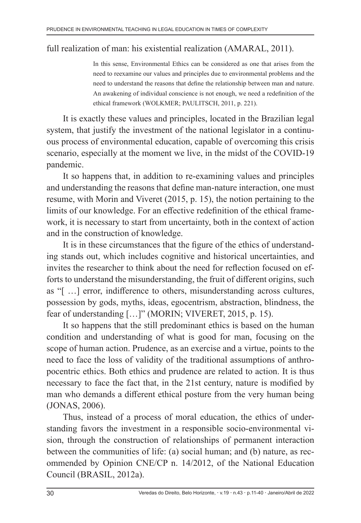#### full realization of man: his existential realization (AMARAL, 2011).

In this sense, Environmental Ethics can be considered as one that arises from the need to reexamine our values and principles due to environmental problems and the need to understand the reasons that define the relationship between man and nature. An awakening of individual conscience is not enough, we need a redefinition of the ethical framework (WOLKMER; PAULITSCH, 2011, p. 221).

It is exactly these values and principles, located in the Brazilian legal system, that justify the investment of the national legislator in a continuous process of environmental education, capable of overcoming this crisis scenario, especially at the moment we live, in the midst of the COVID-19 pandemic.

It so happens that, in addition to re-examining values and principles and understanding the reasons that define man-nature interaction, one must resume, with Morin and Viveret (2015, p. 15), the notion pertaining to the limits of our knowledge. For an effective redefinition of the ethical framework, it is necessary to start from uncertainty, both in the context of action and in the construction of knowledge.

It is in these circumstances that the figure of the ethics of understanding stands out, which includes cognitive and historical uncertainties, and invites the researcher to think about the need for reflection focused on efforts to understand the misunderstanding, the fruit of different origins, such as "[ …] error, indifference to others, misunderstanding across cultures, possession by gods, myths, ideas, egocentrism, abstraction, blindness, the fear of understanding […]" (MORIN; VIVERET, 2015, p. 15).

It so happens that the still predominant ethics is based on the human condition and understanding of what is good for man, focusing on the scope of human action. Prudence, as an exercise and a virtue, points to the need to face the loss of validity of the traditional assumptions of anthropocentric ethics. Both ethics and prudence are related to action. It is thus necessary to face the fact that, in the 21st century, nature is modified by man who demands a different ethical posture from the very human being (JONAS, 2006).

Thus, instead of a process of moral education, the ethics of understanding favors the investment in a responsible socio-environmental vision, through the construction of relationships of permanent interaction between the communities of life: (a) social human; and (b) nature, as recommended by Opinion CNE/CP n. 14/2012, of the National Education Council (BRASIL, 2012a).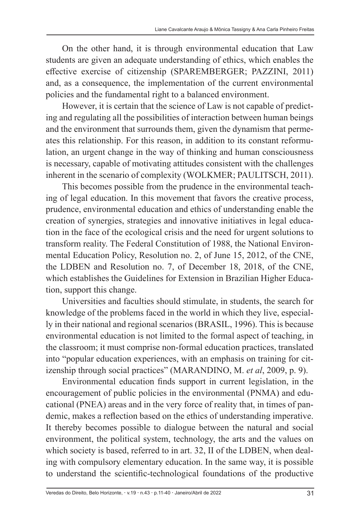On the other hand, it is through environmental education that Law students are given an adequate understanding of ethics, which enables the effective exercise of citizenship (SPAREMBERGER; PAZZINI, 2011) and, as a consequence, the implementation of the current environmental policies and the fundamental right to a balanced environment.

However, it is certain that the science of Law is not capable of predicting and regulating all the possibilities of interaction between human beings and the environment that surrounds them, given the dynamism that permeates this relationship. For this reason, in addition to its constant reformulation, an urgent change in the way of thinking and human consciousness is necessary, capable of motivating attitudes consistent with the challenges inherent in the scenario of complexity (WOLKMER; PAULITSCH, 2011).

This becomes possible from the prudence in the environmental teaching of legal education. In this movement that favors the creative process, prudence, environmental education and ethics of understanding enable the creation of synergies, strategies and innovative initiatives in legal education in the face of the ecological crisis and the need for urgent solutions to transform reality. The Federal Constitution of 1988, the National Environmental Education Policy, Resolution no. 2, of June 15, 2012, of the CNE, the LDBEN and Resolution no. 7, of December 18, 2018, of the CNE, which establishes the Guidelines for Extension in Brazilian Higher Education, support this change.

Universities and faculties should stimulate, in students, the search for knowledge of the problems faced in the world in which they live, especially in their national and regional scenarios (BRASIL, 1996). This is because environmental education is not limited to the formal aspect of teaching, in the classroom; it must comprise non-formal education practices, translated into "popular education experiences, with an emphasis on training for citizenship through social practices" (MARANDINO, M. *et al*, 2009, p. 9).

Environmental education finds support in current legislation, in the encouragement of public policies in the environmental (PNMA) and educational (PNEA) areas and in the very force of reality that, in times of pandemic, makes a reflection based on the ethics of understanding imperative. It thereby becomes possible to dialogue between the natural and social environment, the political system, technology, the arts and the values on which society is based, referred to in art. 32, II of the LDBEN, when dealing with compulsory elementary education. In the same way, it is possible to understand the scientific-technological foundations of the productive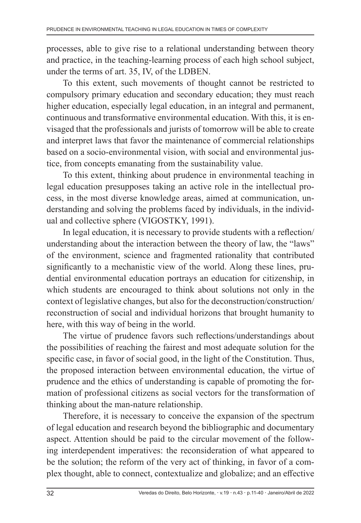processes, able to give rise to a relational understanding between theory and practice, in the teaching-learning process of each high school subject, under the terms of art. 35, IV, of the LDBEN.

To this extent, such movements of thought cannot be restricted to compulsory primary education and secondary education; they must reach higher education, especially legal education, in an integral and permanent, continuous and transformative environmental education. With this, it is envisaged that the professionals and jurists of tomorrow will be able to create and interpret laws that favor the maintenance of commercial relationships based on a socio-environmental vision, with social and environmental justice, from concepts emanating from the sustainability value.

To this extent, thinking about prudence in environmental teaching in legal education presupposes taking an active role in the intellectual process, in the most diverse knowledge areas, aimed at communication, understanding and solving the problems faced by individuals, in the individual and collective sphere (VIGOSTKY, 1991).

In legal education, it is necessary to provide students with a reflection/ understanding about the interaction between the theory of law, the "laws" of the environment, science and fragmented rationality that contributed significantly to a mechanistic view of the world. Along these lines, prudential environmental education portrays an education for citizenship, in which students are encouraged to think about solutions not only in the context of legislative changes, but also for the deconstruction/construction/ reconstruction of social and individual horizons that brought humanity to here, with this way of being in the world.

The virtue of prudence favors such reflections/understandings about the possibilities of reaching the fairest and most adequate solution for the specific case, in favor of social good, in the light of the Constitution. Thus, the proposed interaction between environmental education, the virtue of prudence and the ethics of understanding is capable of promoting the formation of professional citizens as social vectors for the transformation of thinking about the man-nature relationship.

Therefore, it is necessary to conceive the expansion of the spectrum of legal education and research beyond the bibliographic and documentary aspect. Attention should be paid to the circular movement of the following interdependent imperatives: the reconsideration of what appeared to be the solution; the reform of the very act of thinking, in favor of a complex thought, able to connect, contextualize and globalize; and an effective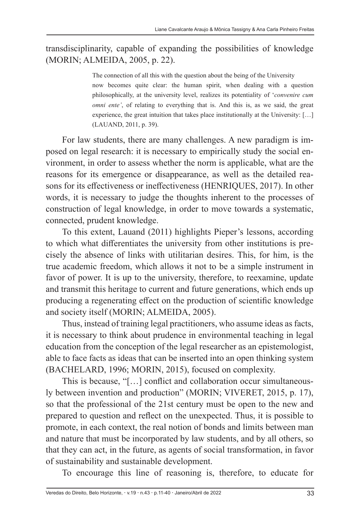#### transdisciplinarity, capable of expanding the possibilities of knowledge (MORIN; ALMEIDA, 2005, p. 22).

The connection of all this with the question about the being of the University now becomes quite clear: the human spirit, when dealing with a question philosophically, at the university level, realizes its potentiality of '*convenire cum omni ente'*, of relating to everything that is. And this is, as we said, the great experience, the great intuition that takes place institutionally at the University: […] (LAUAND, 2011, p. 39).

For law students, there are many challenges. A new paradigm is imposed on legal research: it is necessary to empirically study the social environment, in order to assess whether the norm is applicable, what are the reasons for its emergence or disappearance, as well as the detailed reasons for its effectiveness or ineffectiveness (HENRIQUES, 2017). In other words, it is necessary to judge the thoughts inherent to the processes of construction of legal knowledge, in order to move towards a systematic, connected, prudent knowledge.

To this extent, Lauand (2011) highlights Pieper's lessons, according to which what differentiates the university from other institutions is precisely the absence of links with utilitarian desires. This, for him, is the true academic freedom, which allows it not to be a simple instrument in favor of power. It is up to the university, therefore, to reexamine, update and transmit this heritage to current and future generations, which ends up producing a regenerating effect on the production of scientific knowledge and society itself (MORIN; ALMEIDA, 2005).

Thus, instead of training legal practitioners, who assume ideas as facts, it is necessary to think about prudence in environmental teaching in legal education from the conception of the legal researcher as an epistemologist, able to face facts as ideas that can be inserted into an open thinking system (BACHELARD, 1996; MORIN, 2015), focused on complexity.

This is because, "[…] conflict and collaboration occur simultaneously between invention and production" (MORIN; VIVERET, 2015, p. 17), so that the professional of the 21st century must be open to the new and prepared to question and reflect on the unexpected. Thus, it is possible to promote, in each context, the real notion of bonds and limits between man and nature that must be incorporated by law students, and by all others, so that they can act, in the future, as agents of social transformation, in favor of sustainability and sustainable development.

To encourage this line of reasoning is, therefore, to educate for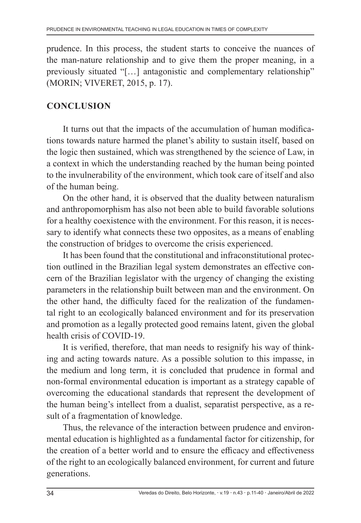prudence. In this process, the student starts to conceive the nuances of the man-nature relationship and to give them the proper meaning, in a previously situated "[…] antagonistic and complementary relationship" (MORIN; VIVERET, 2015, p. 17).

### **CONCLUSION**

It turns out that the impacts of the accumulation of human modifications towards nature harmed the planet's ability to sustain itself, based on the logic then sustained, which was strengthened by the science of Law, in a context in which the understanding reached by the human being pointed to the invulnerability of the environment, which took care of itself and also of the human being.

On the other hand, it is observed that the duality between naturalism and anthropomorphism has also not been able to build favorable solutions for a healthy coexistence with the environment. For this reason, it is necessary to identify what connects these two opposites, as a means of enabling the construction of bridges to overcome the crisis experienced.

It has been found that the constitutional and infraconstitutional protection outlined in the Brazilian legal system demonstrates an effective concern of the Brazilian legislator with the urgency of changing the existing parameters in the relationship built between man and the environment. On the other hand, the difficulty faced for the realization of the fundamental right to an ecologically balanced environment and for its preservation and promotion as a legally protected good remains latent, given the global health crisis of COVID-19.

It is verified, therefore, that man needs to resignify his way of thinking and acting towards nature. As a possible solution to this impasse, in the medium and long term, it is concluded that prudence in formal and non-formal environmental education is important as a strategy capable of overcoming the educational standards that represent the development of the human being's intellect from a dualist, separatist perspective, as a result of a fragmentation of knowledge.

Thus, the relevance of the interaction between prudence and environmental education is highlighted as a fundamental factor for citizenship, for the creation of a better world and to ensure the efficacy and effectiveness of the right to an ecologically balanced environment, for current and future generations.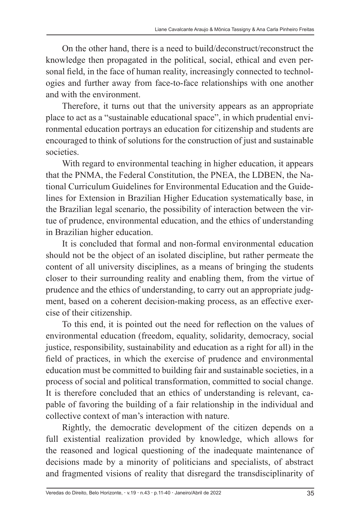On the other hand, there is a need to build/deconstruct/reconstruct the knowledge then propagated in the political, social, ethical and even personal field, in the face of human reality, increasingly connected to technologies and further away from face-to-face relationships with one another and with the environment.

Therefore, it turns out that the university appears as an appropriate place to act as a "sustainable educational space", in which prudential environmental education portrays an education for citizenship and students are encouraged to think of solutions for the construction of just and sustainable societies.

With regard to environmental teaching in higher education, it appears that the PNMA, the Federal Constitution, the PNEA, the LDBEN, the National Curriculum Guidelines for Environmental Education and the Guidelines for Extension in Brazilian Higher Education systematically base, in the Brazilian legal scenario, the possibility of interaction between the virtue of prudence, environmental education, and the ethics of understanding in Brazilian higher education.

It is concluded that formal and non-formal environmental education should not be the object of an isolated discipline, but rather permeate the content of all university disciplines, as a means of bringing the students closer to their surrounding reality and enabling them, from the virtue of prudence and the ethics of understanding, to carry out an appropriate judgment, based on a coherent decision-making process, as an effective exercise of their citizenship.

To this end, it is pointed out the need for reflection on the values of environmental education (freedom, equality, solidarity, democracy, social justice, responsibility, sustainability and education as a right for all) in the field of practices, in which the exercise of prudence and environmental education must be committed to building fair and sustainable societies, in a process of social and political transformation, committed to social change. It is therefore concluded that an ethics of understanding is relevant, capable of favoring the building of a fair relationship in the individual and collective context of man's interaction with nature.

Rightly, the democratic development of the citizen depends on a full existential realization provided by knowledge, which allows for the reasoned and logical questioning of the inadequate maintenance of decisions made by a minority of politicians and specialists, of abstract and fragmented visions of reality that disregard the transdisciplinarity of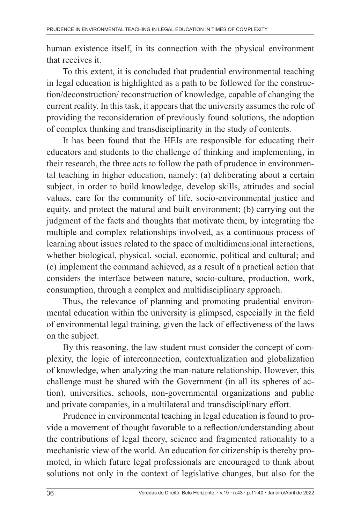human existence itself, in its connection with the physical environment that receives it.

To this extent, it is concluded that prudential environmental teaching in legal education is highlighted as a path to be followed for the construction/deconstruction/ reconstruction of knowledge, capable of changing the current reality. In this task, it appears that the university assumes the role of providing the reconsideration of previously found solutions, the adoption of complex thinking and transdisciplinarity in the study of contents.

It has been found that the HEIs are responsible for educating their educators and students to the challenge of thinking and implementing, in their research, the three acts to follow the path of prudence in environmental teaching in higher education, namely: (a) deliberating about a certain subject, in order to build knowledge, develop skills, attitudes and social values, care for the community of life, socio-environmental justice and equity, and protect the natural and built environment; (b) carrying out the judgment of the facts and thoughts that motivate them, by integrating the multiple and complex relationships involved, as a continuous process of learning about issues related to the space of multidimensional interactions, whether biological, physical, social, economic, political and cultural; and (c) implement the command achieved, as a result of a practical action that considers the interface between nature, socio-culture, production, work, consumption, through a complex and multidisciplinary approach.

Thus, the relevance of planning and promoting prudential environmental education within the university is glimpsed, especially in the field of environmental legal training, given the lack of effectiveness of the laws on the subject.

By this reasoning, the law student must consider the concept of complexity, the logic of interconnection, contextualization and globalization of knowledge, when analyzing the man-nature relationship. However, this challenge must be shared with the Government (in all its spheres of action), universities, schools, non-governmental organizations and public and private companies, in a multilateral and transdisciplinary effort.

Prudence in environmental teaching in legal education is found to provide a movement of thought favorable to a reflection/understanding about the contributions of legal theory, science and fragmented rationality to a mechanistic view of the world. An education for citizenship is thereby promoted, in which future legal professionals are encouraged to think about solutions not only in the context of legislative changes, but also for the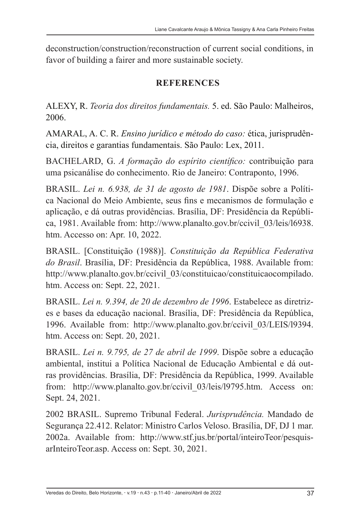deconstruction/construction/reconstruction of current social conditions, in favor of building a fairer and more sustainable society.

## **REFERENCES**

ALEXY, R. *Teoria dos direitos fundamentais.* 5. ed. São Paulo: Malheiros, 2006.

AMARAL, A. C. R. *Ensino jurídico e método do caso:* ética, jurisprudência, direitos e garantias fundamentais. São Paulo: Lex, 2011.

BACHELARD, G. *A formação do espírito científico:* contribuição para uma psicanálise do conhecimento. Rio de Janeiro: Contraponto, 1996.

BRASIL. *Lei n. 6.938, de 31 de agosto de 1981*. Dispõe sobre a Política Nacional do Meio Ambiente, seus fins e mecanismos de formulação e aplicação, e dá outras providências. Brasília, DF: Presidência da República, 1981. Available from: http://www.planalto.gov.br/ccivil\_03/leis/l6938. htm. Accesso on: Apr. 10, 2022.

BRASIL. [Constituição (1988)]. *Constituição da República Federativa do Brasil*. Brasília, DF: Presidência da República, 1988. Available from: http://www.planalto.gov.br/ccivil\_03/constituicao/constituicaocompilado. htm. Access on: Sept. 22, 2021.

BRASIL. *Lei n. 9.394, de 20 de dezembro de 1996*. Estabelece as diretrizes e bases da educação nacional. Brasília, DF: Presidência da República, 1996. Available from: http://www.planalto.gov.br/ccivil\_03/LEIS/l9394. htm. Access on: Sept. 20, 2021.

BRASIL. *Lei n. 9.795, de 27 de abril de 1999*. Dispõe sobre a educação ambiental, institui a Política Nacional de Educação Ambiental e dá outras providências. Brasília, DF: Presidência da República, 1999. Available from: http://www.planalto.gov.br/ccivil 03/leis/19795.htm. Access on: Sept. 24, 2021.

2002 BRASIL. Supremo Tribunal Federal. *Jurisprudência.* Mandado de Segurança 22.412. Relator: Ministro Carlos Veloso. Brasília, DF, DJ 1 mar. 2002a. Available from: http://www.stf.jus.br/portal/inteiroTeor/pesquisarInteiroTeor.asp. Access on: Sept. 30, 2021.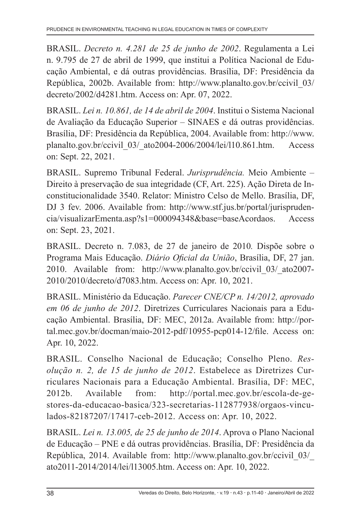BRASIL. *Decreto n. 4.281 de 25 de junho de 2002*. Regulamenta a Lei n. 9.795 de 27 de abril de 1999, que institui a Política Nacional de Educação Ambiental, e dá outras providências. Brasília, DF: Presidência da República, 2002b. Available from: http://www.planalto.gov.br/ccivil\_03/ decreto/2002/d4281.htm. Access on: Apr. 07, 2022.

BRASIL. *Lei n. 10.861, de 14 de abril de 2004*. Institui o Sistema Nacional de Avaliação da Educação Superior – SINAES e dá outras providências. Brasília, DF: Presidência da República, 2004. Available from: http://www. planalto.gov.br/ccivil\_03/\_ato2004-2006/2004/lei/l10.861.htm. Access on: Sept. 22, 2021.

BRASIL. Supremo Tribunal Federal. *Jurisprudência.* Meio Ambiente – Direito à preservação de sua integridade (CF, Art. 225). Ação Direta de Inconstitucionalidade 3540. Relator: Ministro Celso de Mello. Brasília, DF, DJ 3 fev. 2006. Available from: http://www.stf.jus.br/portal/jurisprudencia/visualizarEmenta.asp?s1=000094348&base=baseAcordaos. Access on: Sept. 23, 2021.

BRASIL. Decreto n. 7.083, de 27 de janeiro de 2010*.* Dispõe sobre o Programa Mais Educação. *Diário Oficial da União*, Brasília, DF, 27 jan. 2010. Available from: http://www.planalto.gov.br/ccivil\_03/\_ato2007- 2010/2010/decreto/d7083.htm. Access on: Apr. 10, 2021.

BRASIL. Ministério da Educação. *Parecer CNE/CP n. 14/2012, aprovado em 06 de junho de 2012*. Diretrizes Curriculares Nacionais para a Educação Ambiental. Brasília, DF: MEC, 2012a. Available from: http://portal.mec.gov.br/docman/maio-2012-pdf/10955-pcp014-12/file. Access on: Apr. 10, 2022.

BRASIL. Conselho Nacional de Educação; Conselho Pleno. *Resolução n. 2, de 15 de junho de 2012*. Estabelece as Diretrizes Curriculares Nacionais para a Educação Ambiental. Brasília, DF: MEC, 2012b. Available from: http://portal.mec.gov.br/escola-de-gestores-da-educacao-basica/323-secretarias-112877938/orgaos-vinculados-82187207/17417-ceb-2012. Access on: Apr. 10, 2022.

BRASIL. *Lei n. 13.005, de 25 de junho de 2014*. Aprova o Plano Nacional de Educação – PNE e dá outras providências. Brasília, DF: Presidência da República, 2014. Available from: http://www.planalto.gov.br/ccivil\_03/\_ ato2011-2014/2014/lei/l13005.htm. Access on: Apr. 10, 2022.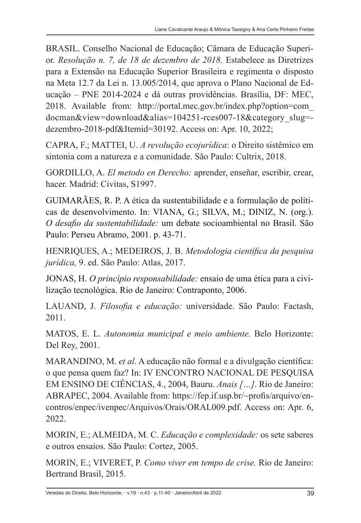BRASIL. Conselho Nacional de Educação; Câmara de Educação Superior. *Resolução n. 7, de 18 de dezembro de 2018.* Estabelece as Diretrizes para a Extensão na Educação Superior Brasileira e regimenta o disposto na Meta 12.7 da Lei n. 13.005/2014, que aprova o Plano Nacional de Educação – PNE 2014-2024 e dá outras providências. Brasília, DF: MEC, 2018. Available from: http://portal.mec.gov.br/index.php?option=com\_ docman&view=download&alias=104251-rces007-18&category\_slug= dezembro-2018-pdf&Itemid=30192. Access on: Apr. 10, 2022;

CAPRA, F.; MATTEI, U. *A revolução ecojurídica*: o Direito sistêmico em sintonia com a natureza e a comunidade. São Paulo: Cultrix, 2018.

GORDILLO, A. *El metodo en Derecho:* aprender, enseñar, escribir, crear, hacer. Madrid: Civitas, S1997.

GUIMARÃES, R. P. A ética da sustentabilidade e a formulação de políticas de desenvolvimento. In: VIANA, G.; SILVA, M.; DINIZ, N. (org.). *O desafio da sustentabilidade:* um debate socioambiental no Brasil. São Paulo: Perseu Abramo, 2001. p. 43-71.

HENRIQUES, A.; MEDEIROS, J. B. *Metodologia científica da pesquisa jurídica,* 9. ed. São Paulo: Atlas, 2017.

JONAS, H. *O princípio responsabilidade:* ensaio de uma ética para a civilização tecnológica. Rio de Janeiro: Contraponto, 2006.

LAUAND, J. *Filosofia e educação:* universidade. São Paulo: Factash, 2011.

MATOS, E. L. *Autonomia municipal e meio ambiente.* Belo Horizonte: Del Rey, 2001.

MARANDINO, M. *et al*. A educação não formal e a divulgação científica: o que pensa quem faz? In: IV ENCONTRO NACIONAL DE PESQUISA EM ENSINO DE CIÊNCIAS, 4., 2004, Bauru. *Anais […]*. Rio de Janeiro: ABRAPEC, 2004. Available from: https://fep.if.usp.br/~profis/arquivo/encontros/enpec/ivenpec/Arquivos/Orais/ORAL009.pdf. Access on: Apr. 6, 2022.

MORIN, E.; ALMEIDA, M. C. *Educação e complexidade:* os sete saberes e outros ensaios. São Paulo: Cortez, 2005.

MORIN, E.; VIVERET, P. *Como viver em tempo de crise.* Rio de Janeiro: Bertrand Brasil, 2015.